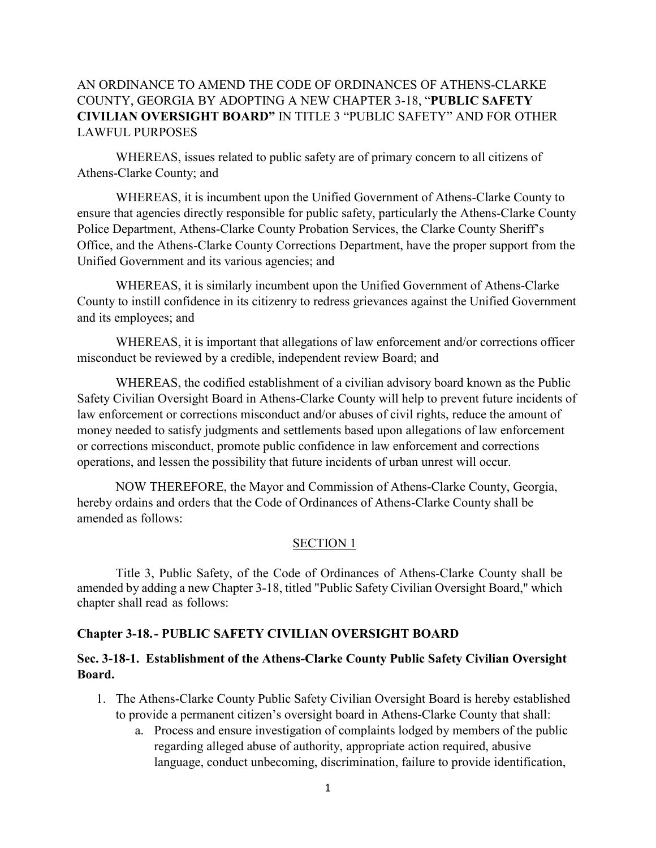# AN ORDINANCE TO AMEND THE CODE OF ORDINANCES OF ATHENS-CLARKE COUNTY, GEORGIA BY ADOPTING A NEW CHAPTER 3-18, "**PUBLIC SAFETY CIVILIAN OVERSIGHT BOARD"** IN TITLE 3 "PUBLIC SAFETY" AND FOR OTHER LAWFUL PURPOSES

WHEREAS, issues related to public safety are of primary concern to all citizens of Athens-Clarke County; and

WHEREAS, it is incumbent upon the Unified Government of Athens-Clarke County to ensure that agencies directly responsible for public safety, particularly the Athens-Clarke County Police Department, Athens-Clarke County Probation Services, the Clarke County Sheriff's Office, and the Athens-Clarke County Corrections Department, have the proper support from the Unified Government and its various agencies; and

WHEREAS, it is similarly incumbent upon the Unified Government of Athens-Clarke County to instill confidence in its citizenry to redress grievances against the Unified Government and its employees; and

WHEREAS, it is important that allegations of law enforcement and/or corrections officer misconduct be reviewed by a credible, independent review Board; and

WHEREAS, the codified establishment of a civilian advisory board known as the Public Safety Civilian Oversight Board in Athens-Clarke County will help to prevent future incidents of law enforcement or corrections misconduct and/or abuses of civil rights, reduce the amount of money needed to satisfy judgments and settlements based upon allegations of law enforcement or corrections misconduct, promote public confidence in law enforcement and corrections operations, and lessen the possibility that future incidents of urban unrest will occur.

NOW THEREFORE, the Mayor and Commission of Athens-Clarke County, Georgia, hereby ordains and orders that the Code of Ordinances of Athens-Clarke County shall be amended as follows:

# SECTION 1

Title 3, Public Safety, of the Code of Ordinances of Athens-Clarke County shall be amended by adding a new Chapter 3-18, titled "Public Safety Civilian Oversight Board," which chapter shall read as follows:

# **Chapter 3-18.- PUBLIC SAFETY CIVILIAN OVERSIGHT BOARD**

# **Sec. 3-18-1. Establishment of the Athens-Clarke County Public Safety Civilian Oversight Board.**

- 1. The Athens-Clarke County Public Safety Civilian Oversight Board is hereby established to provide a permanent citizen's oversight board in Athens-Clarke County that shall:
	- a. Process and ensure investigation of complaints lodged by members of the public regarding alleged abuse of authority, appropriate action required, abusive language, conduct unbecoming, discrimination, failure to provide identification,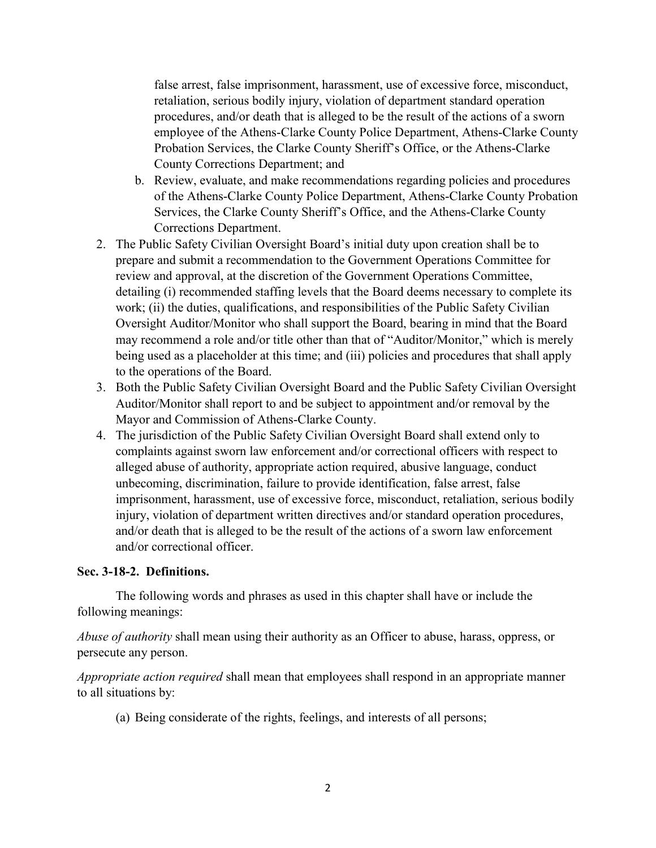false arrest, false imprisonment, harassment, use of excessive force, misconduct, retaliation, serious bodily injury, violation of department standard operation procedures, and/or death that is alleged to be the result of the actions of a sworn employee of the Athens-Clarke County Police Department, Athens-Clarke County Probation Services, the Clarke County Sheriff's Office, or the Athens-Clarke County Corrections Department; and

- b. Review, evaluate, and make recommendations regarding policies and procedures of the Athens-Clarke County Police Department, Athens-Clarke County Probation Services, the Clarke County Sheriff's Office, and the Athens-Clarke County Corrections Department.
- 2. The Public Safety Civilian Oversight Board's initial duty upon creation shall be to prepare and submit a recommendation to the Government Operations Committee for review and approval, at the discretion of the Government Operations Committee, detailing (i) recommended staffing levels that the Board deems necessary to complete its work; (ii) the duties, qualifications, and responsibilities of the Public Safety Civilian Oversight Auditor/Monitor who shall support the Board, bearing in mind that the Board may recommend a role and/or title other than that of "Auditor/Monitor," which is merely being used as a placeholder at this time; and (iii) policies and procedures that shall apply to the operations of the Board.
- 3. Both the Public Safety Civilian Oversight Board and the Public Safety Civilian Oversight Auditor/Monitor shall report to and be subject to appointment and/or removal by the Mayor and Commission of Athens-Clarke County.
- 4. The jurisdiction of the Public Safety Civilian Oversight Board shall extend only to complaints against sworn law enforcement and/or correctional officers with respect to alleged abuse of authority, appropriate action required, abusive language, conduct unbecoming, discrimination, failure to provide identification, false arrest, false imprisonment, harassment, use of excessive force, misconduct, retaliation, serious bodily injury, violation of department written directives and/or standard operation procedures, and/or death that is alleged to be the result of the actions of a sworn law enforcement and/or correctional officer.

# **Sec. 3-18-2. Definitions.**

The following words and phrases as used in this chapter shall have or include the following meanings:

*Abuse of authority* shall mean using their authority as an Officer to abuse, harass, oppress, or persecute any person.

*Appropriate action required* shall mean that employees shall respond in an appropriate manner to all situations by:

(a) Being considerate of the rights, feelings, and interests of all persons;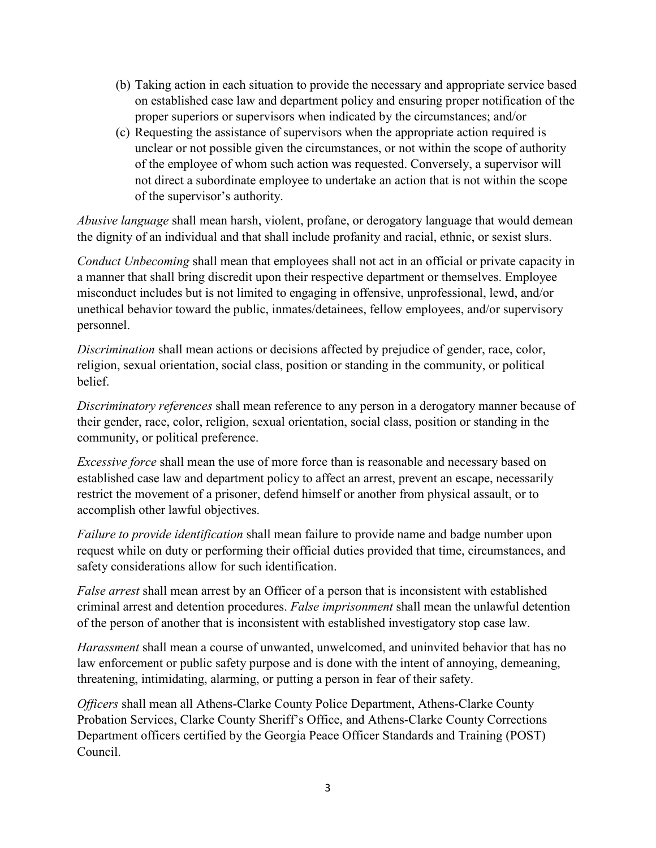- (b) Taking action in each situation to provide the necessary and appropriate service based on established case law and department policy and ensuring proper notification of the proper superiors or supervisors when indicated by the circumstances; and/or
- (c) Requesting the assistance of supervisors when the appropriate action required is unclear or not possible given the circumstances, or not within the scope of authority of the employee of whom such action was requested. Conversely, a supervisor will not direct a subordinate employee to undertake an action that is not within the scope of the supervisor's authority.

*Abusive language* shall mean harsh, violent, profane, or derogatory language that would demean the dignity of an individual and that shall include profanity and racial, ethnic, or sexist slurs.

*Conduct Unbecoming* shall mean that employees shall not act in an official or private capacity in a manner that shall bring discredit upon their respective department or themselves. Employee misconduct includes but is not limited to engaging in offensive, unprofessional, lewd, and/or unethical behavior toward the public, inmates/detainees, fellow employees, and/or supervisory personnel.

*Discrimination* shall mean actions or decisions affected by prejudice of gender, race, color, religion, sexual orientation, social class, position or standing in the community, or political belief.

*Discriminatory references* shall mean reference to any person in a derogatory manner because of their gender, race, color, religion, sexual orientation, social class, position or standing in the community, or political preference.

*Excessive force* shall mean the use of more force than is reasonable and necessary based on established case law and department policy to affect an arrest, prevent an escape, necessarily restrict the movement of a prisoner, defend himself or another from physical assault, or to accomplish other lawful objectives.

*Failure to provide identification* shall mean failure to provide name and badge number upon request while on duty or performing their official duties provided that time, circumstances, and safety considerations allow for such identification.

*False arrest* shall mean arrest by an Officer of a person that is inconsistent with established criminal arrest and detention procedures. *False imprisonment* shall mean the unlawful detention of the person of another that is inconsistent with established investigatory stop case law.

*Harassment* shall mean a course of unwanted, unwelcomed, and uninvited behavior that has no law enforcement or public safety purpose and is done with the intent of annoying, demeaning, threatening, intimidating, alarming, or putting a person in fear of their safety.

*Officers* shall mean all Athens-Clarke County Police Department, Athens-Clarke County Probation Services, Clarke County Sheriff's Office, and Athens-Clarke County Corrections Department officers certified by the Georgia Peace Officer Standards and Training (POST) Council.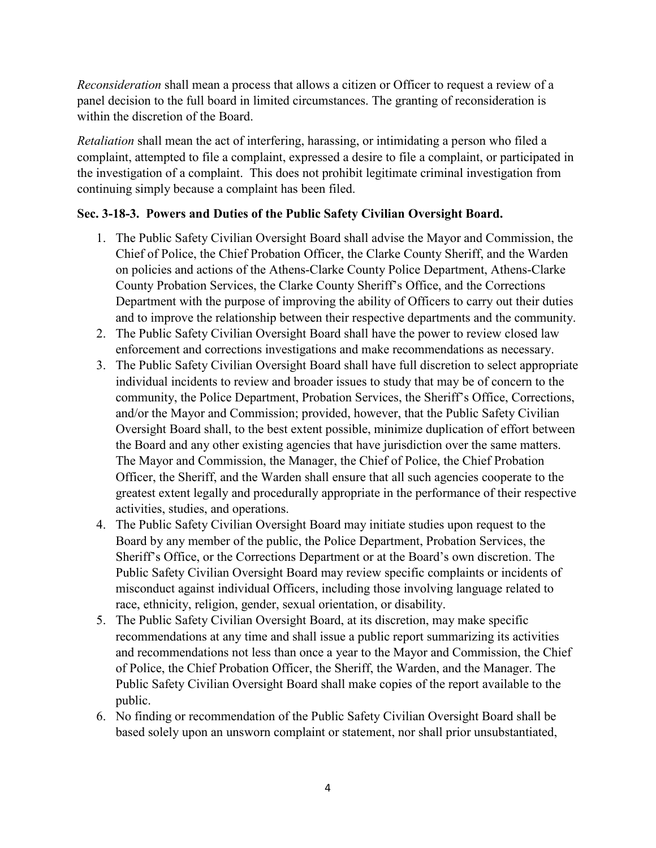*Reconsideration* shall mean a process that allows a citizen or Officer to request a review of a panel decision to the full board in limited circumstances. The granting of reconsideration is within the discretion of the Board.

*Retaliation* shall mean the act of interfering, harassing, or intimidating a person who filed a complaint, attempted to file a complaint, expressed a desire to file a complaint, or participated in the investigation of a complaint. This does not prohibit legitimate criminal investigation from continuing simply because a complaint has been filed.

# **Sec. 3-18-3. Powers and Duties of the Public Safety Civilian Oversight Board.**

- 1. The Public Safety Civilian Oversight Board shall advise the Mayor and Commission, the Chief of Police, the Chief Probation Officer, the Clarke County Sheriff, and the Warden on policies and actions of the Athens-Clarke County Police Department, Athens-Clarke County Probation Services, the Clarke County Sheriff's Office, and the Corrections Department with the purpose of improving the ability of Officers to carry out their duties and to improve the relationship between their respective departments and the community.
- 2. The Public Safety Civilian Oversight Board shall have the power to review closed law enforcement and corrections investigations and make recommendations as necessary.
- 3. The Public Safety Civilian Oversight Board shall have full discretion to select appropriate individual incidents to review and broader issues to study that may be of concern to the community, the Police Department, Probation Services, the Sheriff's Office, Corrections, and/or the Mayor and Commission; provided, however, that the Public Safety Civilian Oversight Board shall, to the best extent possible, minimize duplication of effort between the Board and any other existing agencies that have jurisdiction over the same matters. The Mayor and Commission, the Manager, the Chief of Police, the Chief Probation Officer, the Sheriff, and the Warden shall ensure that all such agencies cooperate to the greatest extent legally and procedurally appropriate in the performance of their respective activities, studies, and operations.
- 4. The Public Safety Civilian Oversight Board may initiate studies upon request to the Board by any member of the public, the Police Department, Probation Services, the Sheriff's Office, or the Corrections Department or at the Board's own discretion. The Public Safety Civilian Oversight Board may review specific complaints or incidents of misconduct against individual Officers, including those involving language related to race, ethnicity, religion, gender, sexual orientation, or disability.
- 5. The Public Safety Civilian Oversight Board, at its discretion, may make specific recommendations at any time and shall issue a public report summarizing its activities and recommendations not less than once a year to the Mayor and Commission, the Chief of Police, the Chief Probation Officer, the Sheriff, the Warden, and the Manager. The Public Safety Civilian Oversight Board shall make copies of the report available to the public.
- 6. No finding or recommendation of the Public Safety Civilian Oversight Board shall be based solely upon an unsworn complaint or statement, nor shall prior unsubstantiated,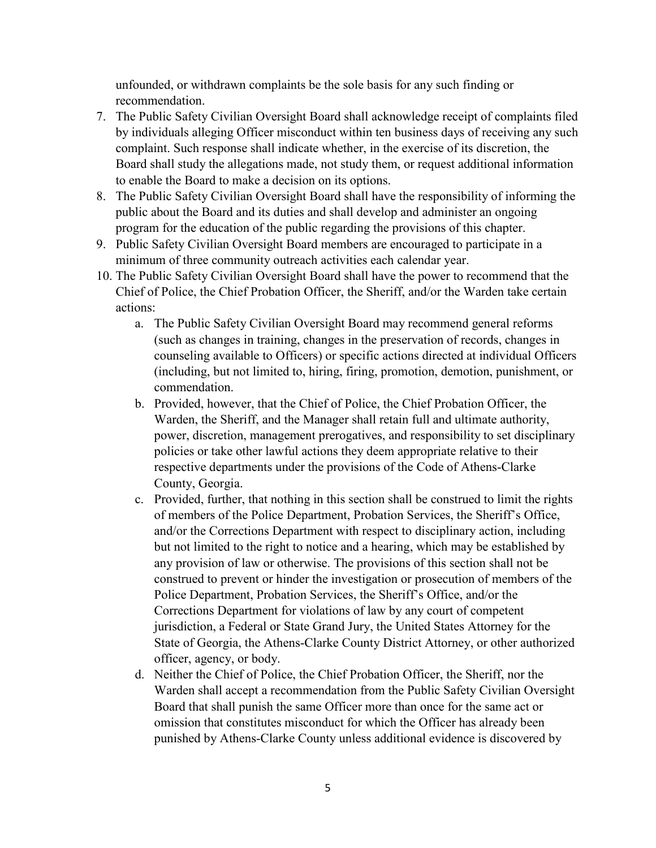unfounded, or withdrawn complaints be the sole basis for any such finding or recommendation.

- 7. The Public Safety Civilian Oversight Board shall acknowledge receipt of complaints filed by individuals alleging Officer misconduct within ten business days of receiving any such complaint. Such response shall indicate whether, in the exercise of its discretion, the Board shall study the allegations made, not study them, or request additional information to enable the Board to make a decision on its options.
- 8. The Public Safety Civilian Oversight Board shall have the responsibility of informing the public about the Board and its duties and shall develop and administer an ongoing program for the education of the public regarding the provisions of this chapter.
- 9. Public Safety Civilian Oversight Board members are encouraged to participate in a minimum of three community outreach activities each calendar year.
- 10. The Public Safety Civilian Oversight Board shall have the power to recommend that the Chief of Police, the Chief Probation Officer, the Sheriff, and/or the Warden take certain actions:
	- a. The Public Safety Civilian Oversight Board may recommend general reforms (such as changes in training, changes in the preservation of records, changes in counseling available to Officers) or specific actions directed at individual Officers (including, but not limited to, hiring, firing, promotion, demotion, punishment, or commendation.
	- b. Provided, however, that the Chief of Police, the Chief Probation Officer, the Warden, the Sheriff, and the Manager shall retain full and ultimate authority, power, discretion, management prerogatives, and responsibility to set disciplinary policies or take other lawful actions they deem appropriate relative to their respective departments under the provisions of the Code of Athens-Clarke County, Georgia.
	- c. Provided, further, that nothing in this section shall be construed to limit the rights of members of the Police Department, Probation Services, the Sheriff's Office, and/or the Corrections Department with respect to disciplinary action, including but not limited to the right to notice and a hearing, which may be established by any provision of law or otherwise. The provisions of this section shall not be construed to prevent or hinder the investigation or prosecution of members of the Police Department, Probation Services, the Sheriff's Office, and/or the Corrections Department for violations of law by any court of competent jurisdiction, a Federal or State Grand Jury, the United States Attorney for the State of Georgia, the Athens-Clarke County District Attorney, or other authorized officer, agency, or body.
	- d. Neither the Chief of Police, the Chief Probation Officer, the Sheriff, nor the Warden shall accept a recommendation from the Public Safety Civilian Oversight Board that shall punish the same Officer more than once for the same act or omission that constitutes misconduct for which the Officer has already been punished by Athens-Clarke County unless additional evidence is discovered by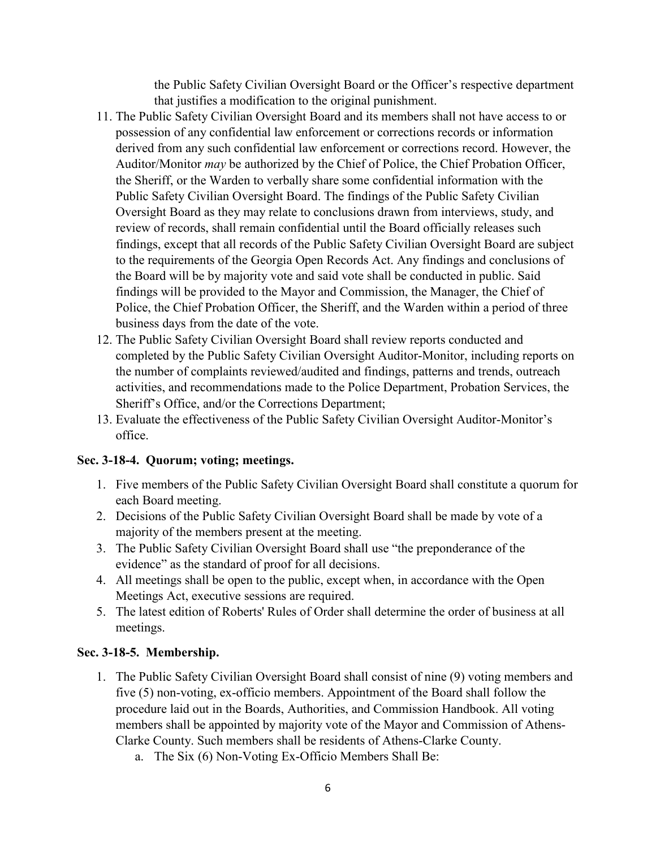the Public Safety Civilian Oversight Board or the Officer's respective department that justifies a modification to the original punishment.

- 11. The Public Safety Civilian Oversight Board and its members shall not have access to or possession of any confidential law enforcement or corrections records or information derived from any such confidential law enforcement or corrections record. However, the Auditor/Monitor *may* be authorized by the Chief of Police, the Chief Probation Officer, the Sheriff, or the Warden to verbally share some confidential information with the Public Safety Civilian Oversight Board. The findings of the Public Safety Civilian Oversight Board as they may relate to conclusions drawn from interviews, study, and review of records, shall remain confidential until the Board officially releases such findings, except that all records of the Public Safety Civilian Oversight Board are subject to the requirements of the Georgia Open Records Act. Any findings and conclusions of the Board will be by majority vote and said vote shall be conducted in public. Said findings will be provided to the Mayor and Commission, the Manager, the Chief of Police, the Chief Probation Officer, the Sheriff, and the Warden within a period of three business days from the date of the vote.
- 12. The Public Safety Civilian Oversight Board shall review reports conducted and completed by the Public Safety Civilian Oversight Auditor‐Monitor, including reports on the number of complaints reviewed/audited and findings, patterns and trends, outreach activities, and recommendations made to the Police Department, Probation Services, the Sheriff's Office, and/or the Corrections Department;
- 13. Evaluate the effectiveness of the Public Safety Civilian Oversight Auditor‐Monitor's office.

# **Sec. 3-18-4. Quorum; voting; meetings.**

- 1. Five members of the Public Safety Civilian Oversight Board shall constitute a quorum for each Board meeting.
- 2. Decisions of the Public Safety Civilian Oversight Board shall be made by vote of a majority of the members present at the meeting.
- 3. The Public Safety Civilian Oversight Board shall use "the preponderance of the evidence" as the standard of proof for all decisions.
- 4. All meetings shall be open to the public, except when, in accordance with the Open Meetings Act, executive sessions are required.
- 5. The latest edition of Roberts' Rules of Order shall determine the order of business at all meetings.

# **Sec. 3-18-5. Membership.**

- 1. The Public Safety Civilian Oversight Board shall consist of nine (9) voting members and five (5) non-voting, ex-officio members. Appointment of the Board shall follow the procedure laid out in the Boards, Authorities, and Commission Handbook. All voting members shall be appointed by majority vote of the Mayor and Commission of Athens-Clarke County. Such members shall be residents of Athens-Clarke County.
	- a. The Six (6) Non-Voting Ex-Officio Members Shall Be: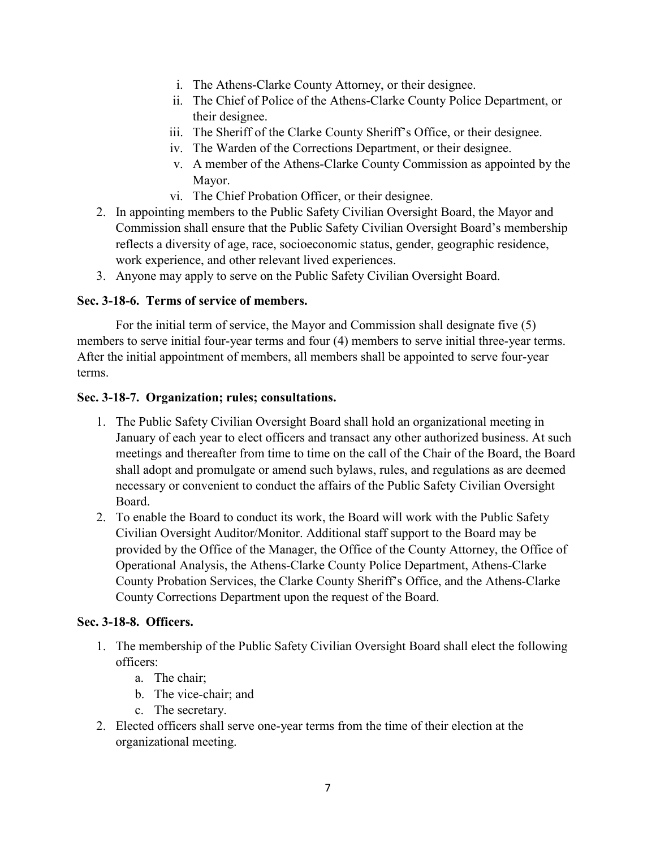- i. The Athens-Clarke County Attorney, or their designee.
- ii. The Chief of Police of the Athens-Clarke County Police Department, or their designee.
- iii. The Sheriff of the Clarke County Sheriff's Office, or their designee.
- iv. The Warden of the Corrections Department, or their designee.
- v. A member of the Athens-Clarke County Commission as appointed by the Mayor.
- vi. The Chief Probation Officer, or their designee.
- 2. In appointing members to the Public Safety Civilian Oversight Board, the Mayor and Commission shall ensure that the Public Safety Civilian Oversight Board's membership reflects a diversity of age, race, socioeconomic status, gender, geographic residence, work experience, and other relevant lived experiences.
- 3. Anyone may apply to serve on the Public Safety Civilian Oversight Board.

# **Sec. 3-18-6. Terms of service of members.**

For the initial term of service, the Mayor and Commission shall designate five (5) members to serve initial four-year terms and four (4) members to serve initial three-year terms. After the initial appointment of members, all members shall be appointed to serve four-year terms.

# **Sec. 3-18-7. Organization; rules; consultations.**

- 1. The Public Safety Civilian Oversight Board shall hold an organizational meeting in January of each year to elect officers and transact any other authorized business. At such meetings and thereafter from time to time on the call of the Chair of the Board, the Board shall adopt and promulgate or amend such bylaws, rules, and regulations as are deemed necessary or convenient to conduct the affairs of the Public Safety Civilian Oversight Board.
- 2. To enable the Board to conduct its work, the Board will work with the Public Safety Civilian Oversight Auditor/Monitor. Additional staff support to the Board may be provided by the Office of the Manager, the Office of the County Attorney, the Office of Operational Analysis, the Athens-Clarke County Police Department, Athens-Clarke County Probation Services, the Clarke County Sheriff's Office, and the Athens-Clarke County Corrections Department upon the request of the Board.

# **Sec. 3-18-8. Officers.**

- 1. The membership of the Public Safety Civilian Oversight Board shall elect the following officers:
	- a. The chair;
	- b. The vice-chair; and
	- c. The secretary.
- 2. Elected officers shall serve one-year terms from the time of their election at the organizational meeting.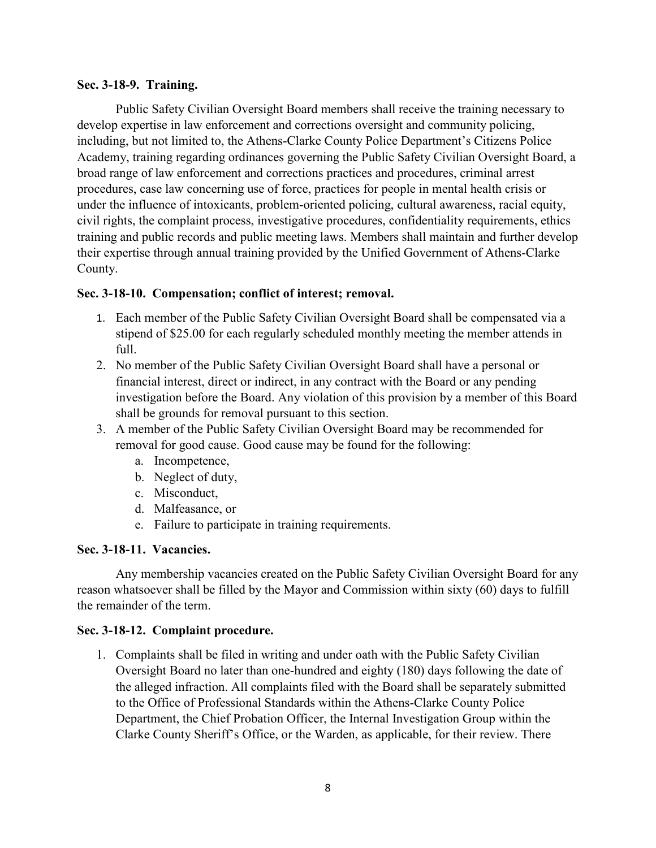# **Sec. 3-18-9. Training.**

Public Safety Civilian Oversight Board members shall receive the training necessary to develop expertise in law enforcement and corrections oversight and community policing, including, but not limited to, the Athens-Clarke County Police Department's Citizens Police Academy, training regarding ordinances governing the Public Safety Civilian Oversight Board, a broad range of law enforcement and corrections practices and procedures, criminal arrest procedures, case law concerning use of force, practices for people in mental health crisis or under the influence of intoxicants, problem-oriented policing, cultural awareness, racial equity, civil rights, the complaint process, investigative procedures, confidentiality requirements, ethics training and public records and public meeting laws. Members shall maintain and further develop their expertise through annual training provided by the Unified Government of Athens-Clarke County.

# **Sec. 3-18-10. Compensation; conflict of interest; removal.**

- 1. Each member of the Public Safety Civilian Oversight Board shall be compensated via a stipend of \$25.00 for each regularly scheduled monthly meeting the member attends in full.
- 2. No member of the Public Safety Civilian Oversight Board shall have a personal or financial interest, direct or indirect, in any contract with the Board or any pending investigation before the Board. Any violation of this provision by a member of this Board shall be grounds for removal pursuant to this section.
- 3. A member of the Public Safety Civilian Oversight Board may be recommended for removal for good cause. Good cause may be found for the following:
	- a. Incompetence,
	- b. Neglect of duty,
	- c. Misconduct,
	- d. Malfeasance, or
	- e. Failure to participate in training requirements.

# **Sec. 3-18-11. Vacancies.**

Any membership vacancies created on the Public Safety Civilian Oversight Board for any reason whatsoever shall be filled by the Mayor and Commission within sixty (60) days to fulfill the remainder of the term.

# **Sec. 3-18-12. Complaint procedure.**

1. Complaints shall be filed in writing and under oath with the Public Safety Civilian Oversight Board no later than one-hundred and eighty (180) days following the date of the alleged infraction. All complaints filed with the Board shall be separately submitted to the Office of Professional Standards within the Athens-Clarke County Police Department, the Chief Probation Officer, the Internal Investigation Group within the Clarke County Sheriff's Office, or the Warden, as applicable, for their review. There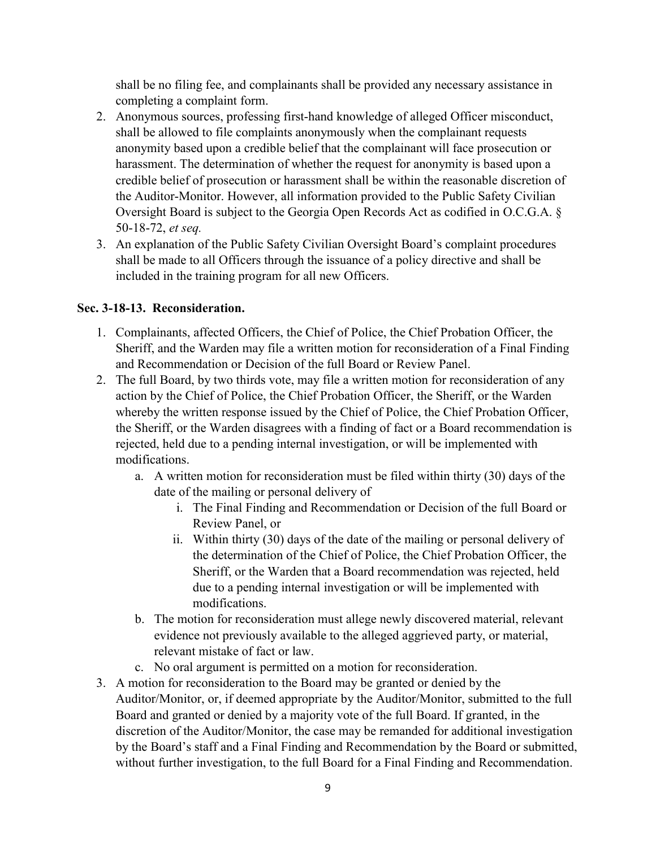shall be no filing fee, and complainants shall be provided any necessary assistance in completing a complaint form.

- 2. Anonymous sources, professing first-hand knowledge of alleged Officer misconduct, shall be allowed to file complaints anonymously when the complainant requests anonymity based upon a credible belief that the complainant will face prosecution or harassment. The determination of whether the request for anonymity is based upon a credible belief of prosecution or harassment shall be within the reasonable discretion of the Auditor-Monitor. However, all information provided to the Public Safety Civilian Oversight Board is subject to the Georgia Open Records Act as codified in O.C.G.A. § 50-18-72, *et seq.*
- 3. An explanation of the Public Safety Civilian Oversight Board's complaint procedures shall be made to all Officers through the issuance of a policy directive and shall be included in the training program for all new Officers.

# **Sec. 3-18-13. Reconsideration.**

- 1. Complainants, affected Officers, the Chief of Police, the Chief Probation Officer, the Sheriff, and the Warden may file a written motion for reconsideration of a Final Finding and Recommendation or Decision of the full Board or Review Panel.
- 2. The full Board, by two thirds vote, may file a written motion for reconsideration of any action by the Chief of Police, the Chief Probation Officer, the Sheriff, or the Warden whereby the written response issued by the Chief of Police, the Chief Probation Officer, the Sheriff, or the Warden disagrees with a finding of fact or a Board recommendation is rejected, held due to a pending internal investigation, or will be implemented with modifications.
	- a. A written motion for reconsideration must be filed within thirty (30) days of the date of the mailing or personal delivery of
		- i. The Final Finding and Recommendation or Decision of the full Board or Review Panel, or
		- ii. Within thirty (30) days of the date of the mailing or personal delivery of the determination of the Chief of Police, the Chief Probation Officer, the Sheriff, or the Warden that a Board recommendation was rejected, held due to a pending internal investigation or will be implemented with modifications.
	- b. The motion for reconsideration must allege newly discovered material, relevant evidence not previously available to the alleged aggrieved party, or material, relevant mistake of fact or law.
	- c. No oral argument is permitted on a motion for reconsideration.
- 3. A motion for reconsideration to the Board may be granted or denied by the Auditor/Monitor, or, if deemed appropriate by the Auditor/Monitor, submitted to the full Board and granted or denied by a majority vote of the full Board. If granted, in the discretion of the Auditor/Monitor, the case may be remanded for additional investigation by the Board's staff and a Final Finding and Recommendation by the Board or submitted, without further investigation, to the full Board for a Final Finding and Recommendation.